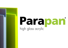# Parapan high gloss acrylic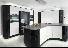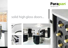

# solid high gloss doors...





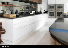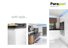







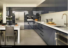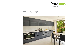

### with shine...

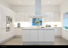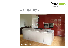

## with quality...

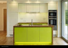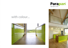

### with colour...



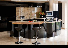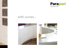



### with curves...



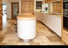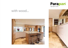

### with wood...



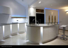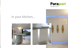

# in your kitchen...



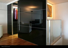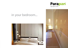

## in your bedroom...



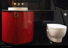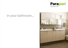

# in your bathroom...

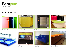

Special Parapan® Applications



finger pulls **island units** wine racks curves















office **furniture** handleless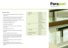

#### Parapan® Doors...

- ... are the finest quality solid high gloss kitchen doors and drawers on the market.
- ... are SOLID, they are 18mm thick acrylic all the way through, not coated or laminated. This is also why they are so unique!
- ... are hard-wearing, durable, moisture resistant and hygienic, ideal for the kitchen and bathroom environment.
- ... are available in 24 beautiful colours.
- ... are UV stable so will not fade.
- ... are bespoke, they are made to any size to suit your design requirements.
- ... can be thermoformed into curves.
- ... are available with a choice of interesting and unusual edge treatments.
- ... can easily be drilled for hinges and handles.
- ... are easy to maintain with non-abrasive household cleaners. Any eventual scratches can be removed simply by buffing with T-Cut® or Brasso®. Also available is the Parapan care & maintenance kit.
- ... can be cleaned with Parastat, an anti-static cleaner that is available from us.
- ... are also available in 4mm thickness in all the colours for splashbacks, light pelmets, cornices or front panels for built-in appliances.

| <b>Features</b>                  | <b>Benefits</b>      |  |
|----------------------------------|----------------------|--|
| Solid                            | <b>Non Porous</b>    |  |
|                                  | Waterproof           |  |
|                                  | Stain resistant      |  |
|                                  | Easy to clean        |  |
|                                  | Hygienic - Germ Free |  |
|                                  | Repairable           |  |
|                                  | Will not delaminate  |  |
| Acrylic                          | UV-Stable            |  |
|                                  | Colour stable        |  |
|                                  | Will not fade        |  |
|                                  | Thermoformable       |  |
| High quality                     | <b>Fxclusive</b>     |  |
|                                  | Upmarket             |  |
| <b>Brilliant/Vibrant colours</b> | Creative             |  |
| High Gloss                       | Reflective           |  |

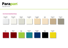

#### **4mm Panels & Splashback Range**



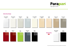

#### **18mm Door Range**



![](_page_24_Figure_3.jpeg)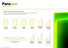![](_page_25_Picture_0.jpeg)

#### Parapan® Edge Treatments and Finger Pulls

Below is a choice of interesting and unusual edge treatments available for 18mm thick Parapan<sup>®</sup> doors. This provides an original and unique touch to the finished product.

![](_page_25_Figure_3.jpeg)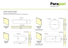![](_page_26_Picture_0.jpeg)

#### Parapan® Finger Pull Handles

Below is a choice of finger pull handles.

Please note: Front finger pulls are not available on curved Parapan<sup>®</sup> doors.

![](_page_26_Figure_4.jpeg)